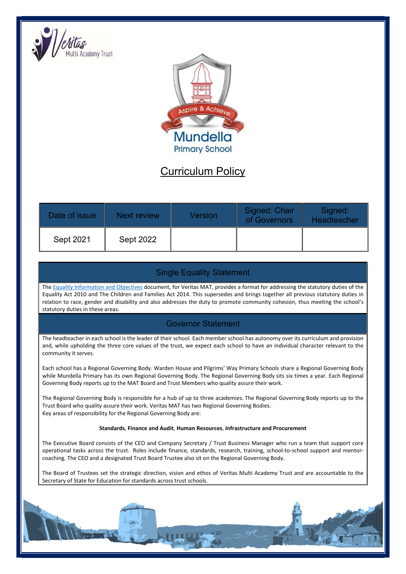



# Curriculum Policy

| Date of issue | Next review      | <b>Version</b> | Signed: Chair<br>of Governors | Signed:<br>Headteacher |
|---------------|------------------|----------------|-------------------------------|------------------------|
| Sept 2021     | <b>Sept 2022</b> |                |                               |                        |

# Single Equality Statement

The Equality Information and Objectives document, for Veritas MAT, provides a format for addressing the statutory duties of the Equality Act 2010 and The Children and Families Act 2014. This supersedes and brings together all previous statutory duties in relation to race, gender and disability and also addresses the duty to promote community cohesion, thus meeting the school's statutory duties in these areas.

# Governor Statement

The headteacher in each school is the leader of their school. Each member school has autonomy over its curriculum and provision and, while upholding the three core values of the trust, we expect each school to have an individual character relevant to the community it serves.

Each school has a Regional Governing Body. Warden House and Pilgrims' Way Primary Schools share a Regional Governing Body while Mundella Primary has its own Regional Governing Body. The Regional Governing Body sits six times a year. Each Regional Governing Body reports up to the MAT Board and Trust Members who quality assure their work.

The Regional Governing Body is responsible for a hub of up to three academies. The Regional Governing Body reports up to the Trust Board who quality assure their work. Veritas MAT has two Regional Governing Bodies. Key areas of responsibility for the Regional Governing Body are:

## Standards, Finance and Audit, Human Resources, Infrastructure and Procurement

The Executive Board consists of the CEO and Company Secretary / Trust Business Manager who run a team that support core operational tasks across the trust. Roles include finance, standards, research, training, school-to-school support and mentorcoaching. The CEO and a designated Trust Board Trustee also sit on the Regional Governing Body.

The Board of Trustees set the strategic direction, vision and ethos of Veritas Multi Academy Trust and are accountable to the Secretary of State for Education for standards across trust schools.

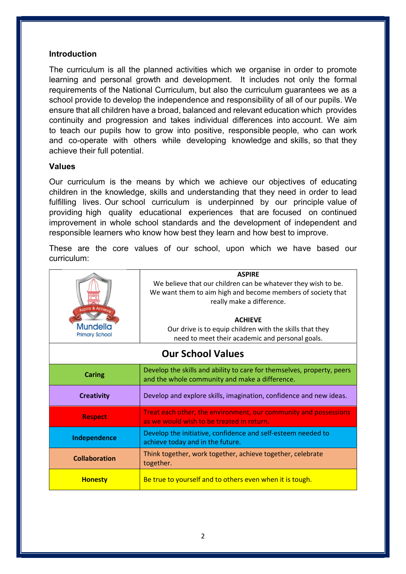## Introduction

The curriculum is all the planned activities which we organise in order to promote learning and personal growth and development. It includes not only the formal requirements of the National Curriculum, but also the curriculum guarantees we as a school provide to develop the independence and responsibility of all of our pupils. We ensure that all children have a broad, balanced and relevant education which provides continuity and progression and takes individual differences into account. We aim to teach our pupils how to grow into positive, responsible people, who can work and co-operate with others while developing knowledge and skills, so that they achieve their full potential.

## Values

Our curriculum is the means by which we achieve our objectives of educating children in the knowledge, skills and understanding that they need in order to lead fulfilling lives. Our school curriculum is underpinned by our principle value of providing high quality educational experiences that are focused on continued improvement in whole school standards and the development of independent and responsible learners who know how best they learn and how best to improve.

These are the core values of our school, upon which we have based our curriculum:

| Aspire & Achieve<br>Mundella<br><b>Primary School</b> | <b>ASPIRE</b><br>We believe that our children can be whatever they wish to be.<br>We want them to aim high and become members of society that<br>really make a difference.<br><b>ACHIEVE</b><br>Our drive is to equip children with the skills that they<br>need to meet their academic and personal goals. |  |  |  |
|-------------------------------------------------------|-------------------------------------------------------------------------------------------------------------------------------------------------------------------------------------------------------------------------------------------------------------------------------------------------------------|--|--|--|
|                                                       |                                                                                                                                                                                                                                                                                                             |  |  |  |
| <b>Our School Values</b>                              |                                                                                                                                                                                                                                                                                                             |  |  |  |
|                                                       |                                                                                                                                                                                                                                                                                                             |  |  |  |
| <b>Caring</b>                                         | Develop the skills and ability to care for themselves, property, peers<br>and the whole community and make a difference.                                                                                                                                                                                    |  |  |  |
| <b>Creativity</b>                                     | Develop and explore skills, imagination, confidence and new ideas.                                                                                                                                                                                                                                          |  |  |  |
| <b>Respect</b>                                        | Treat each other, the environment, our community and possessions<br>as we would wish to be treated in return.                                                                                                                                                                                               |  |  |  |
| Independence                                          | Develop the initiative, confidence and self-esteem needed to<br>achieve today and in the future.                                                                                                                                                                                                            |  |  |  |
| <b>Collaboration</b>                                  | Think together, work together, achieve together, celebrate<br>together.                                                                                                                                                                                                                                     |  |  |  |
| <b>Honesty</b>                                        | Be true to yourself and to others even when it is tough.                                                                                                                                                                                                                                                    |  |  |  |
|                                                       |                                                                                                                                                                                                                                                                                                             |  |  |  |